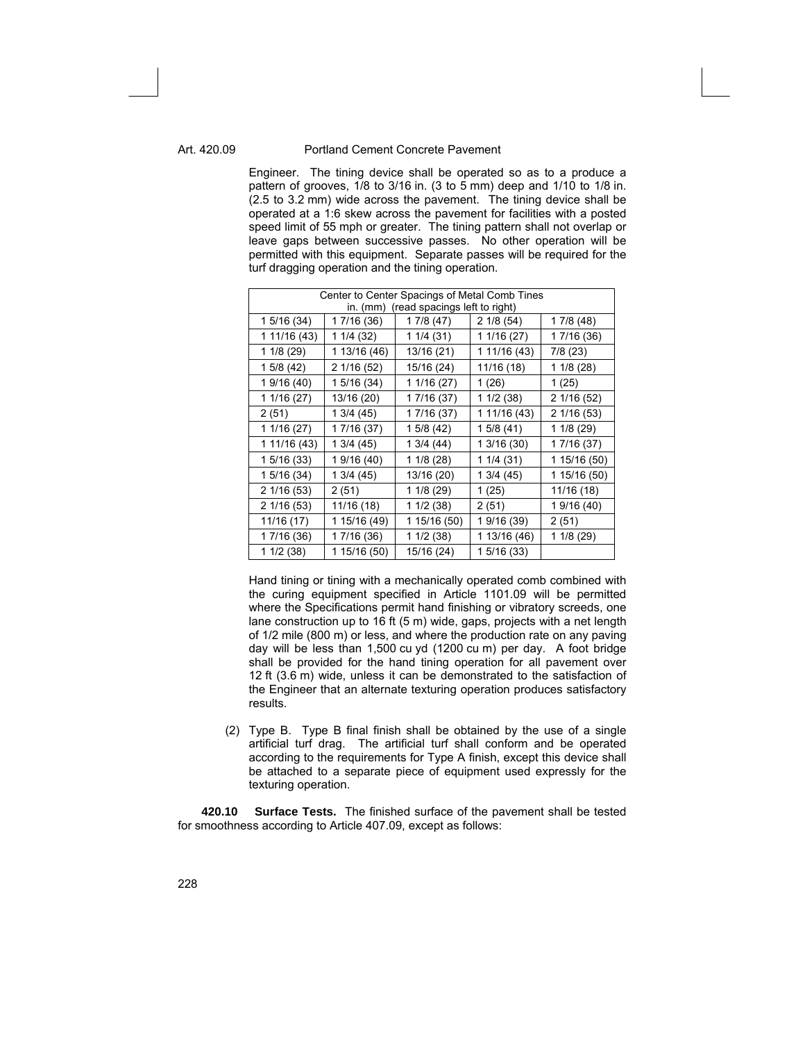Engineer. The tining device shall be operated so as to a produce a pattern of grooves, 1/8 to 3/16 in. (3 to 5 mm) deep and 1/10 to 1/8 in. (2.5 to 3.2 mm) wide across the pavement. The tining device shall be operated at a 1:6 skew across the pavement for facilities with a posted speed limit of 55 mph or greater. The tining pattern shall not overlap or leave gaps between successive passes. No other operation will be permitted with this equipment. Separate passes will be required for the turf dragging operation and the tining operation.

| Center to Center Spacings of Metal Comb Tines |              |              |              |              |  |
|-----------------------------------------------|--------------|--------------|--------------|--------------|--|
| (read spacings left to right)<br>in. $(mm)$   |              |              |              |              |  |
| 1 5/16 (34)                                   | 1 7/16 (36)  | 1 7/8 (47)   | 2 1/8 (54)   | 17/8(48)     |  |
| 1 11/16 (43)                                  | 1 1/4 (32)   | 1 1/4 (31)   | 1 1/16 (27)  | 1 7/16 (36)  |  |
| 1 1/8 (29)                                    | 1 13/16 (46) | 13/16 (21)   | 1 11/16 (43) | 7/8(23)      |  |
| 15/8(42)                                      | 2 1/16 (52)  | 15/16 (24)   | 11/16 (18)   | 1 1/8 (28)   |  |
| 1 9/16 (40)                                   | 1 5/16 (34)  | 1 1/16 (27)  | 1(26)        | 1(25)        |  |
| 1 1/16 (27)                                   | 13/16 (20)   | 1 7/16 (37)  | 1 1/2 (38)   | 2 1/16 (52)  |  |
| 2(51)                                         | 13/4(45)     | 1 7/16 (37)  | 1 11/16 (43) | 2 1/16 (53)  |  |
| 1 1/16 (27)                                   | 1 7/16 (37)  | 1 5/8 (42)   | 15/8(41)     | 1 1/8 (29)   |  |
| 1 11/16 (43)                                  | 1 3/4 (45)   | 1 3/4 (44)   | 1 3/16 (30)  | 1 7/16 (37)  |  |
| 1 5/16 (33)                                   | 1 9/16 (40)  | 1 1/8 (28)   | 11/4(31)     | 1 15/16 (50) |  |
| 1 5/16 (34)                                   | 13/4(45)     | 13/16 (20)   | 13/4(45)     | 1 15/16 (50) |  |
| 2 1/16 (53)                                   | 2 (51)       | 1 1/8 (29)   | 1(25)        | 11/16 (18)   |  |
| 2 1/16 (53)                                   | 11/16 (18)   | 11/2(38)     | 2(51)        | 1 9/16 (40)  |  |
| 11/16 (17)                                    | 1 15/16 (49) | 1 15/16 (50) | 1 9/16 (39)  | 2(51)        |  |
| 1 7/16 (36)                                   | 1 7/16 (36)  | 11/2(38)     | 1 13/16 (46) | 1 1/8 (29)   |  |
| 11/2(38)                                      | 1 15/16 (50) | 15/16 (24)   | 1 5/16 (33)  |              |  |

Hand tining or tining with a mechanically operated comb combined with the curing equipment specified in Article 1101.09 will be permitted where the Specifications permit hand finishing or vibratory screeds, one lane construction up to 16 ft (5 m) wide, gaps, projects with a net length of 1/2 mile (800 m) or less, and where the production rate on any paving day will be less than 1,500 cu yd (1200 cu m) per day. A foot bridge shall be provided for the hand tining operation for all pavement over 12 ft (3.6 m) wide, unless it can be demonstrated to the satisfaction of the Engineer that an alternate texturing operation produces satisfactory results.

(2) Type B. Type B final finish shall be obtained by the use of a single artificial turf drag. The artificial turf shall conform and be operated according to the requirements for Type A finish, except this device shall be attached to a separate piece of equipment used expressly for the texturing operation.

**420.10 Surface Tests.** The finished surface of the pavement shall be tested for smoothness according to Article 407.09, except as follows: